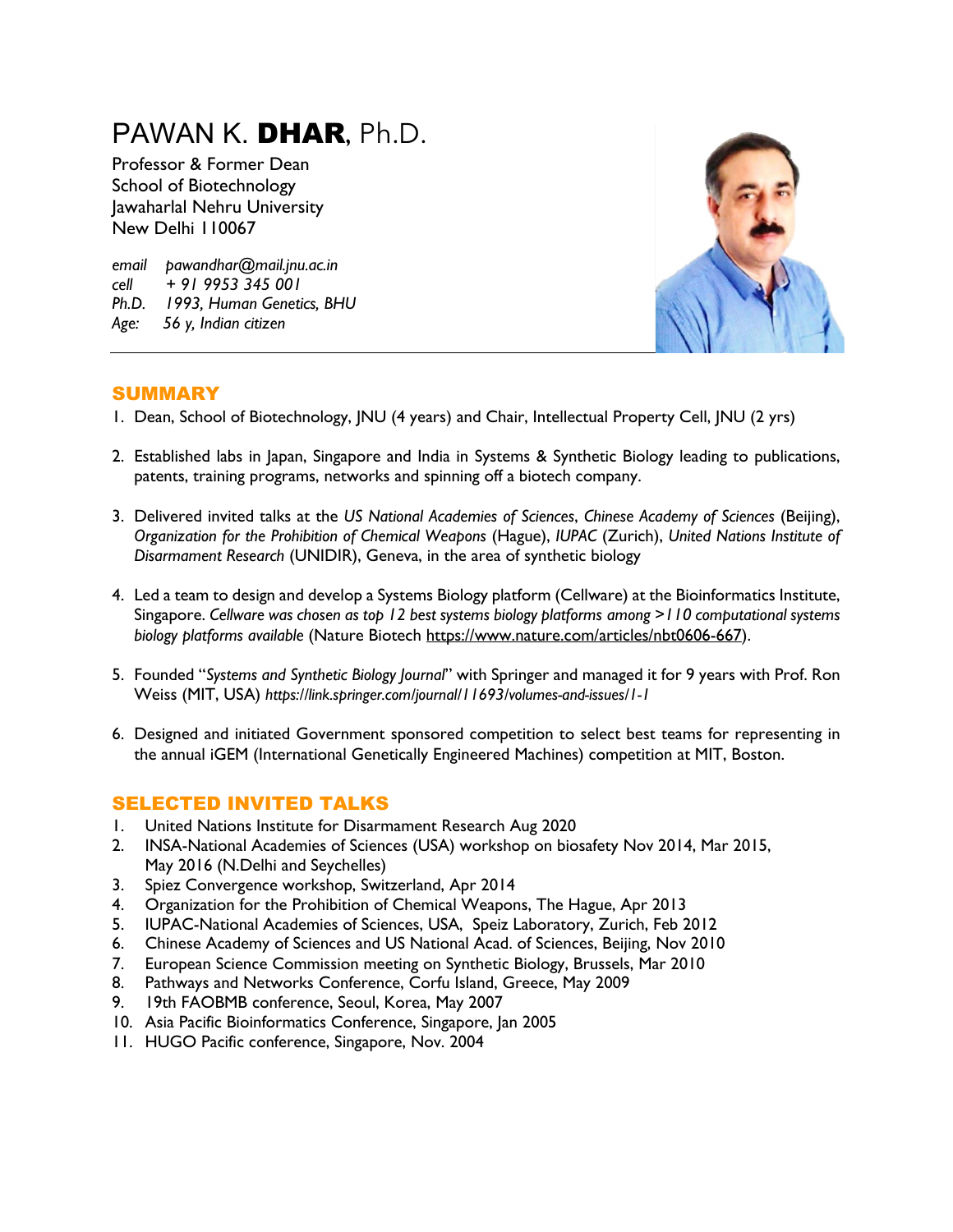# PAWAN K. DHAR, Ph.D.

Professor & Former Dean School of Biotechnology Jawaharlal Nehru University New Delhi 110067

*email pawandhar@mail.jnu.ac.in cell + 91 9953 345 001 Ph.D. 1993, Human Genetics, BHU Age: 56 y, Indian citizen*



## SUMMARY

- 1. Dean, School of Biotechnology, JNU (4 years) and Chair, Intellectual Property Cell, JNU (2 yrs)
- 2. Established labs in Japan, Singapore and India in Systems & Synthetic Biology leading to publications, patents, training programs, networks and spinning off a biotech company.
- 3. Delivered invited talks at the *US National Academies of Sciences*, *Chinese Academy of Sciences* (Beijing), *Organization for the Prohibition of Chemical Weapons* (Hague), *IUPAC* (Zurich), *United Nations Institute of Disarmament Research* (UNIDIR), Geneva, in the area of synthetic biology
- 4. Led a team to design and develop a Systems Biology platform (Cellware) at the Bioinformatics Institute, Singapore. *Cellware was chosen as top 12 best systems biology platforms among >110 computational systems biology platforms available* (Nature Biotech https://www.nature.com/articles/nbt0606-667).
- 5. Founded "*Systems and Synthetic Biology Journal*" with Springer and managed it for 9 years with Prof. Ron Weiss (MIT, USA) *https://link.springer.com/journal/11693/volumes-and-issues/1-1*
- 6. Designed and initiated Government sponsored competition to select best teams for representing in the annual iGEM (International Genetically Engineered Machines) competition at MIT, Boston.

## SELECTED INVITED TALKS

- 1. United Nations Institute for Disarmament Research Aug 2020
- 2. INSA-National Academies of Sciences (USA) workshop on biosafety Nov 2014, Mar 2015, May 2016 (N.Delhi and Seychelles)
- 3. Spiez Convergence workshop, Switzerland, Apr 2014
- 4. Organization for the Prohibition of Chemical Weapons, The Hague, Apr 2013
- 5. IUPAC-National Academies of Sciences, USA, Speiz Laboratory, Zurich, Feb 2012
- 6. Chinese Academy of Sciences and US National Acad. of Sciences, Beijing, Nov 2010
- 7. European Science Commission meeting on Synthetic Biology, Brussels, Mar 2010
- 8. Pathways and Networks Conference, Corfu Island, Greece, May 2009
- 9. 19th FAOBMB conference, Seoul, Korea, May 2007
- 10. Asia Pacific Bioinformatics Conference, Singapore, Jan 2005
- 11. HUGO Pacific conference, Singapore, Nov. 2004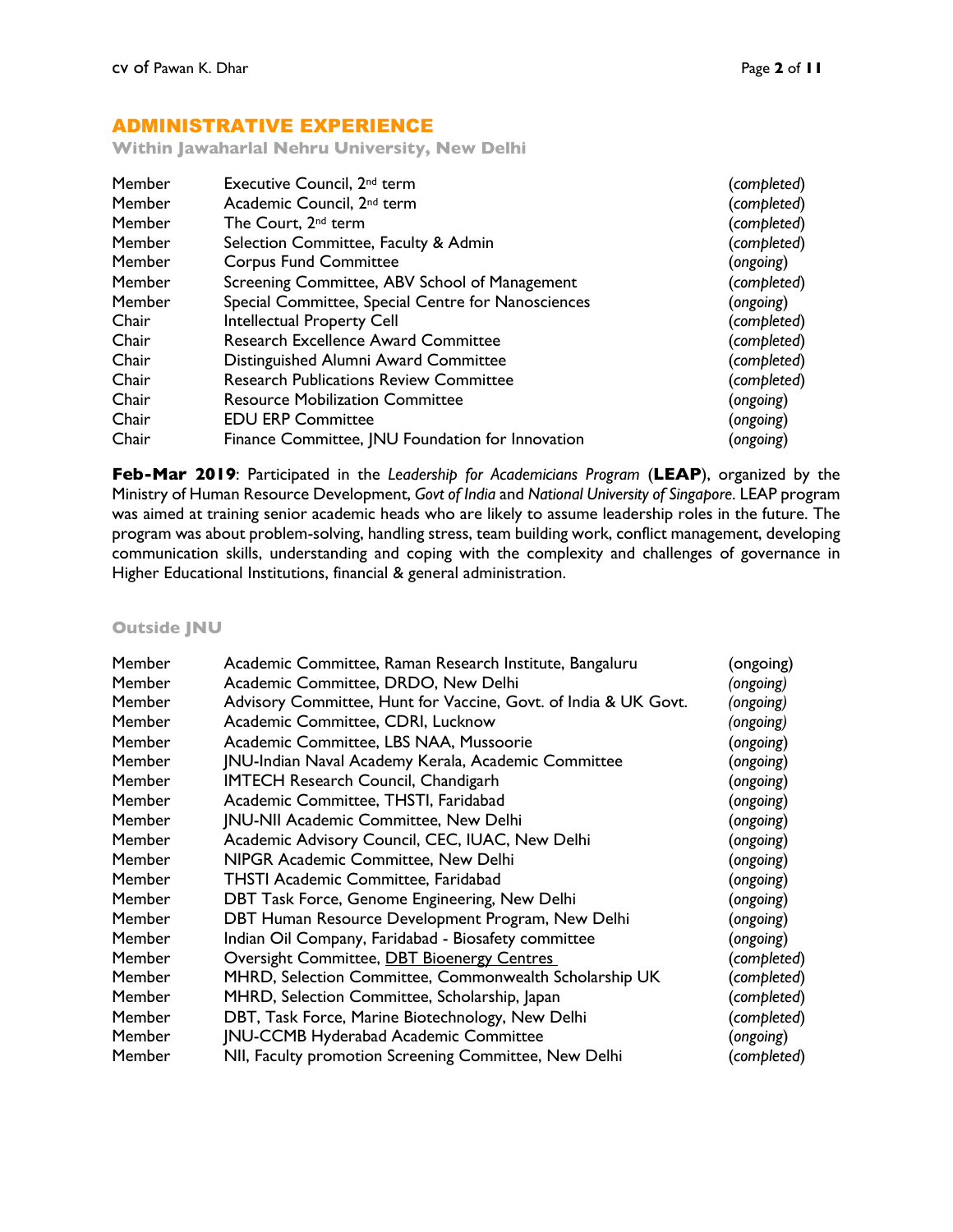## ADMINISTRATIVE EXPERIENCE

**Within Jawaharlal Nehru University, New Delhi**

| Member | Executive Council, 2 <sup>nd</sup> term            | (completed) |
|--------|----------------------------------------------------|-------------|
| Member | Academic Council, 2 <sup>nd</sup> term             | (completed) |
| Member | The Court, 2 <sup>nd</sup> term                    | (completed) |
| Member | Selection Committee, Faculty & Admin               | (completed) |
| Member | <b>Corpus Fund Committee</b>                       | (ongoing)   |
| Member | Screening Committee, ABV School of Management      | (completed) |
| Member | Special Committee, Special Centre for Nanosciences | (ongoing)   |
| Chair  | Intellectual Property Cell                         | (completed) |
| Chair  | <b>Research Excellence Award Committee</b>         | (completed) |
| Chair  | Distinguished Alumni Award Committee               | (completed) |
| Chair  | <b>Research Publications Review Committee</b>      | (completed) |
| Chair  | <b>Resource Mobilization Committee</b>             | (ongoing)   |
| Chair  | <b>EDU ERP Committee</b>                           | (ongoing)   |
| Chair  | Finance Committee, JNU Foundation for Innovation   | (ongoing)   |

**Feb-Mar 2019**: Participated in the *Leadership for Academicians Program* (**LEAP**), organized by the Ministry of Human Resource Development, *Govt of India* and *National University of Singapore*. LEAP program was aimed at training senior academic heads who are likely to assume leadership roles in the future. The program was about problem-solving, handling stress, team building work, conflict management, developing communication skills, understanding and coping with the complexity and challenges of governance in Higher Educational Institutions, financial & general administration.

**Outside JNU**

| Member | Academic Committee, Raman Research Institute, Bangaluru         | (ongoing)   |
|--------|-----------------------------------------------------------------|-------------|
| Member | Academic Committee, DRDO, New Delhi                             | (ongoing)   |
| Member | Advisory Committee, Hunt for Vaccine, Govt. of India & UK Govt. | (ongoing)   |
| Member | Academic Committee, CDRI, Lucknow                               | (ongoing)   |
| Member | Academic Committee, LBS NAA, Mussoorie                          | (ongoing)   |
| Member | JNU-Indian Naval Academy Kerala, Academic Committee             | (ongoing)   |
| Member | <b>IMTECH Research Council, Chandigarh</b>                      | (ongoing)   |
| Member | Academic Committee, THSTI, Faridabad                            | (ongoing)   |
| Member | JNU-NII Academic Committee, New Delhi                           | (ongoing)   |
| Member | Academic Advisory Council, CEC, IUAC, New Delhi                 | (ongoing)   |
| Member | NIPGR Academic Committee, New Delhi                             | (ongoing)   |
| Member | THSTI Academic Committee, Faridabad                             | (ongoing)   |
| Member | DBT Task Force, Genome Engineering, New Delhi                   | (ongoing)   |
| Member | DBT Human Resource Development Program, New Delhi               | (ongoing)   |
| Member | Indian Oil Company, Faridabad - Biosafety committee             | (ongoing)   |
| Member | Oversight Committee, DBT Bioenergy Centres                      | (completed) |
| Member | MHRD, Selection Committee, Commonwealth Scholarship UK          | (completed) |
| Member | MHRD, Selection Committee, Scholarship, Japan                   | (completed) |
| Member | DBT, Task Force, Marine Biotechnology, New Delhi                | (completed) |
| Member | JNU-CCMB Hyderabad Academic Committee                           | (ongoing)   |
| Member | NII, Faculty promotion Screening Committee, New Delhi           | (completed) |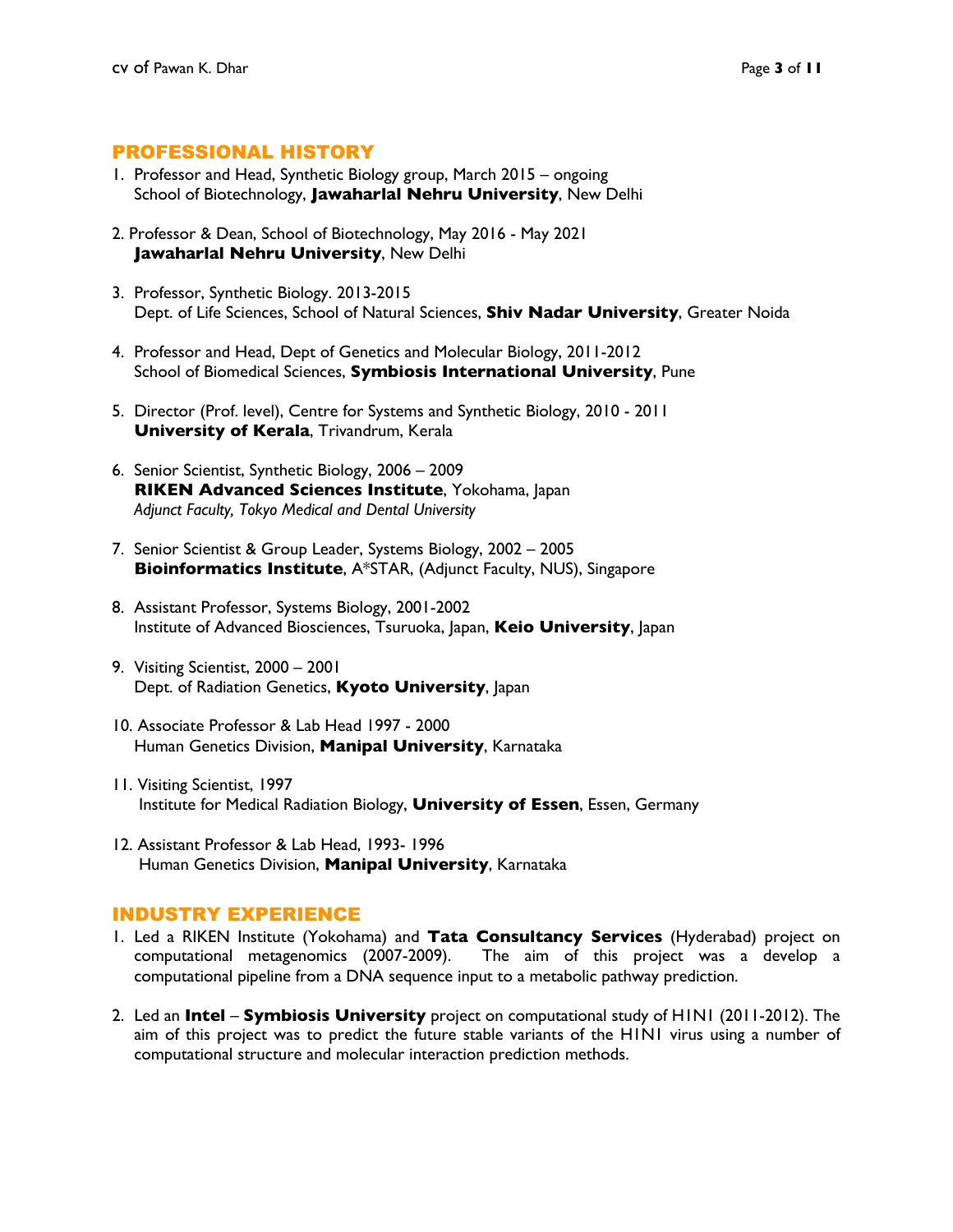#### PROFESSIONAL HISTORY

- 1. Professor and Head, Synthetic Biology group, March 2015 ongoing School of Biotechnology, **Jawaharlal Nehru University**, New Delhi
- 2. Professor & Dean, School of Biotechnology, May 2016 May 2021 **Jawaharlal Nehru University**, New Delhi
- 3. Professor, Synthetic Biology. 2013-2015 Dept. of Life Sciences, School of Natural Sciences, **Shiv Nadar University**, Greater Noida
- 4. Professor and Head, Dept of Genetics and Molecular Biology, 2011-2012 School of Biomedical Sciences, **Symbiosis International University**, Pune
- 5. Director (Prof. level), Centre for Systems and Synthetic Biology, 2010 2011 **University of Kerala**, Trivandrum, Kerala
- 6. Senior Scientist, Synthetic Biology, 2006 2009 **RIKEN Advanced Sciences Institute**, Yokohama, Japan *Adjunct Faculty, Tokyo Medical and Dental University*
- 7. Senior Scientist & Group Leader, Systems Biology, 2002 2005 **Bioinformatics Institute**, A\*STAR, (Adjunct Faculty, NUS), Singapore
- 8. Assistant Professor, Systems Biology, 2001-2002 Institute of Advanced Biosciences, Tsuruoka, Japan, **Keio University**, Japan
- 9. Visiting Scientist, 2000 2001 Dept. of Radiation Genetics, **Kyoto University**, Japan
- 10. Associate Professor & Lab Head 1997 2000 Human Genetics Division, **Manipal University**, Karnataka
- 11. Visiting Scientist, 1997 Institute for Medical Radiation Biology, **University of Essen**, Essen, Germany
- 12. Assistant Professor & Lab Head, 1993- 1996 Human Genetics Division, **Manipal University**, Karnataka

#### INDUSTRY EXPERIENCE

- 1. Led a RIKEN Institute (Yokohama) and **Tata Consultancy Services** (Hyderabad) project on computational metagenomics (2007-2009). The aim of this project was a develop a computational pipeline from a DNA sequence input to a metabolic pathway prediction.
- 2. Led an **Intel Symbiosis University** project on computational study of H1N1 (2011-2012). The aim of this project was to predict the future stable variants of the H1N1 virus using a number of computational structure and molecular interaction prediction methods.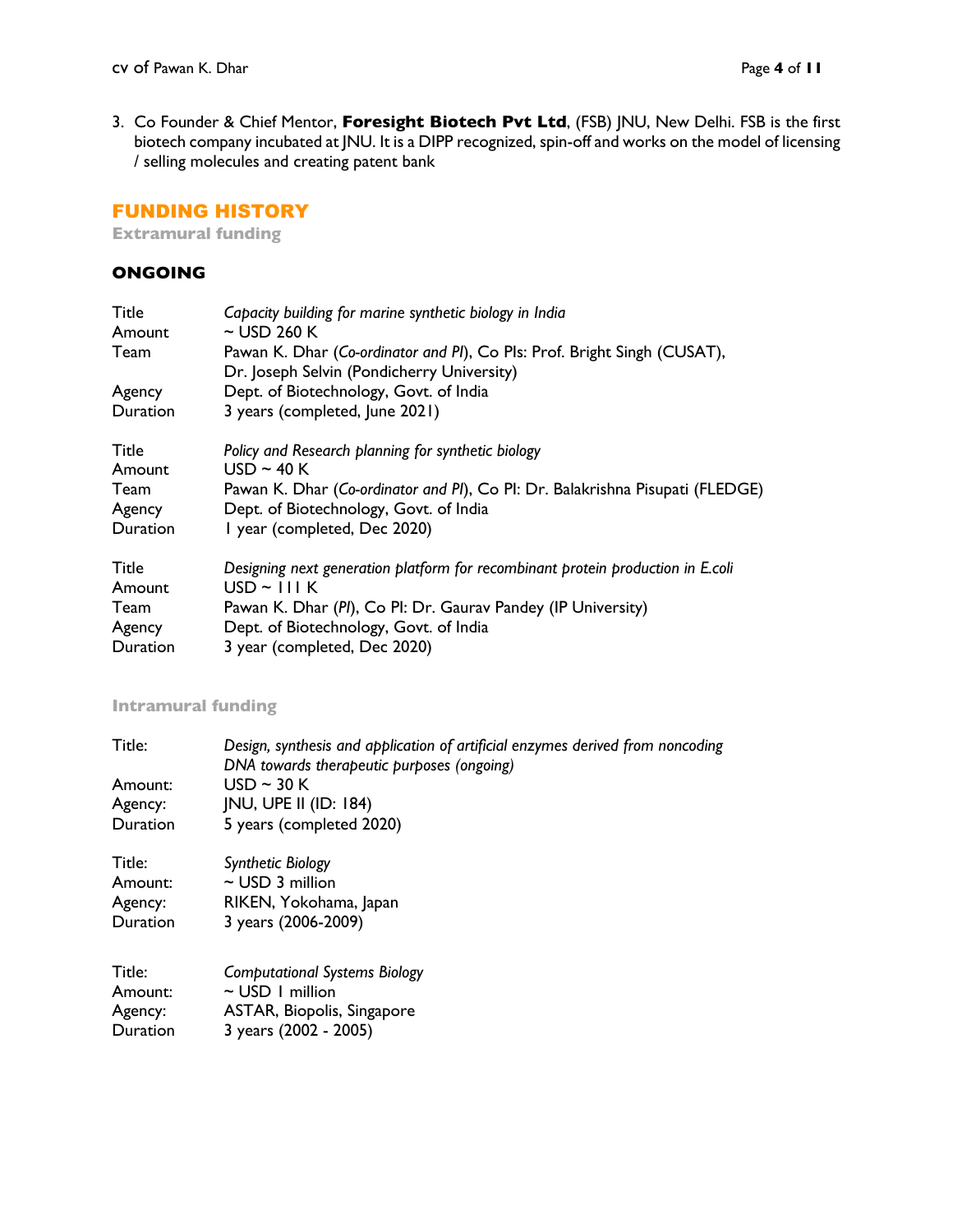3. Co Founder & Chief Mentor, **Foresight Biotech Pvt Ltd**, (FSB) JNU, New Delhi. FSB is the first biotech company incubated at JNU. It is a DIPP recognized, spin-off and works on the model of licensing / selling molecules and creating patent bank

## FUNDING HISTORY

**Extramural funding**

#### **ONGOING**

| Title<br>Amount | Capacity building for marine synthetic biology in India<br>$\sim$ USD 260 K                                            |
|-----------------|------------------------------------------------------------------------------------------------------------------------|
| Team            | Pawan K. Dhar (Co-ordinator and PI), Co PIs: Prof. Bright Singh (CUSAT),<br>Dr. Joseph Selvin (Pondicherry University) |
| Agency          | Dept. of Biotechnology, Govt. of India                                                                                 |
| Duration        | 3 years (completed, June 2021)                                                                                         |
| Title           | Policy and Research planning for synthetic biology                                                                     |
| Amount          | $USD \sim 40 K$                                                                                                        |
| Team            | Pawan K. Dhar (Co-ordinator and PI), Co PI: Dr. Balakrishna Pisupati (FLEDGE)                                          |
| Agency          | Dept. of Biotechnology, Govt. of India                                                                                 |
| Duration        | I year (completed, Dec 2020)                                                                                           |
| Title           | Designing next generation platform for recombinant protein production in E.coli                                        |
| Amount          | $USD \sim \square I K$                                                                                                 |
| Team            | Pawan K. Dhar (PI), Co PI: Dr. Gaurav Pandey (IP University)                                                           |
| Agency          | Dept. of Biotechnology, Govt. of India                                                                                 |
| Duration        | 3 year (completed, Dec 2020)                                                                                           |

## **Intramural funding**

| Title:<br>Amount:<br>Agency:<br>Duration | Design, synthesis and application of artificial enzymes derived from noncoding<br>DNA towards therapeutic purposes (ongoing)<br>USD $\sim$ 30 K<br><b>JNU, UPE II (ID: 184)</b><br>5 years (completed 2020) |
|------------------------------------------|-------------------------------------------------------------------------------------------------------------------------------------------------------------------------------------------------------------|
| Title:                                   | Synthetic Biology                                                                                                                                                                                           |
| Amount:                                  | $\sim$ USD 3 million                                                                                                                                                                                        |
| Agency:                                  | RIKEN, Yokohama, Japan                                                                                                                                                                                      |
| Duration                                 | 3 years (2006-2009)                                                                                                                                                                                         |
| Title:                                   | <b>Computational Systems Biology</b>                                                                                                                                                                        |
| Amount:                                  | $\sim$ USD 1 million                                                                                                                                                                                        |
| Agency:                                  | ASTAR, Biopolis, Singapore                                                                                                                                                                                  |
| Duration                                 | 3 years (2002 - 2005)                                                                                                                                                                                       |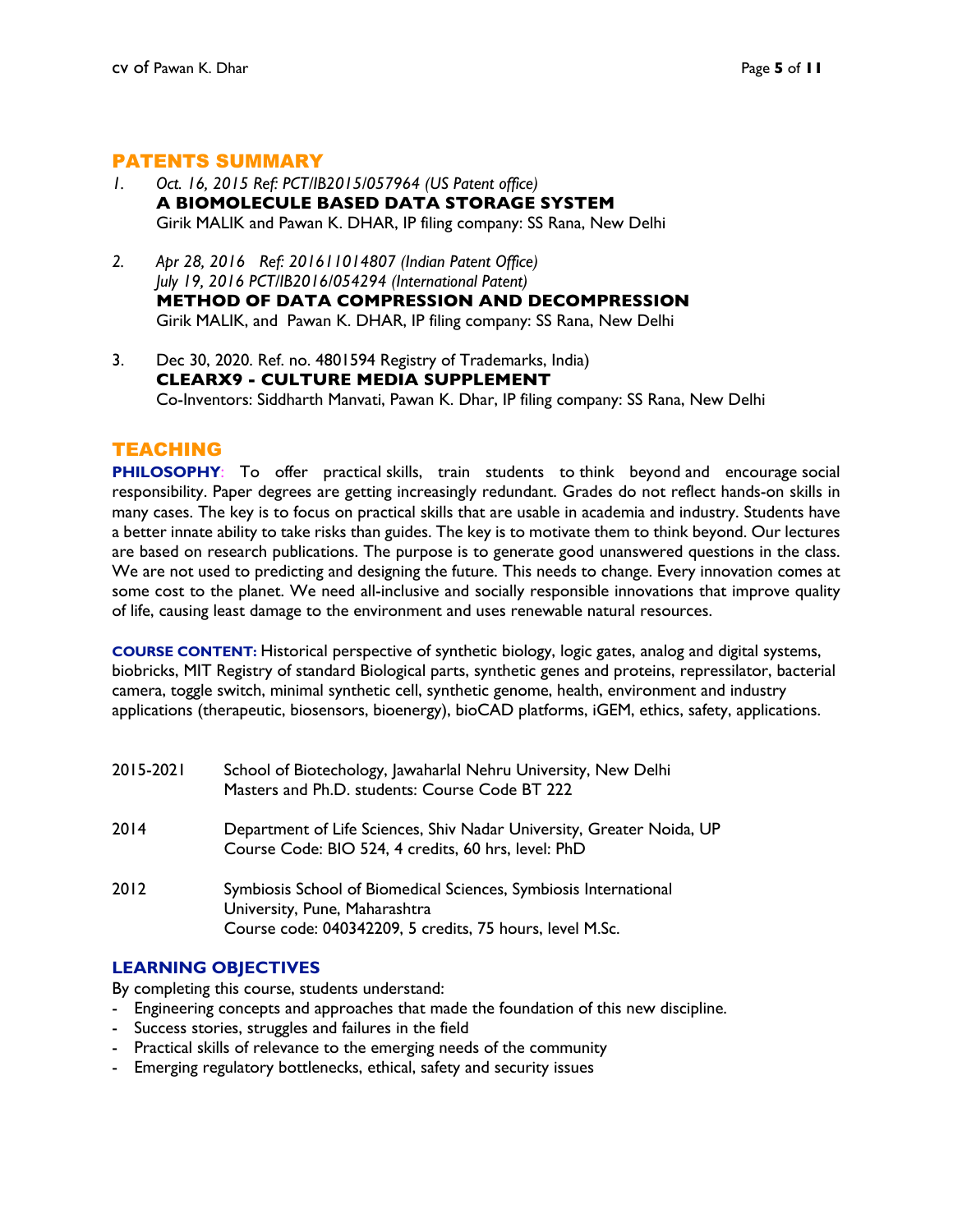## PATENTS SUMMARY

- *1. Oct. 16, 2015 Ref: PCT/IB2015/057964 (US Patent office)* **A BIOMOLECULE BASED DATA STORAGE SYSTEM** Girik MALIK and Pawan K. DHAR, IP filing company: SS Rana, New Delhi
- *2. Apr 28, 2016 Ref: 201611014807 (Indian Patent Office) July 19, 2016 PCT/IB2016/054294 (International Patent)* **METHOD OF DATA COMPRESSION AND DECOMPRESSION** Girik MALIK, and Pawan K. DHAR, IP filing company: SS Rana, New Delhi
- 3. Dec 30, 2020. Ref. no. 4801594 Registry of Trademarks, India) **CLEARX9 - CULTURE MEDIA SUPPLEMENT** Co-Inventors: Siddharth Manvati, Pawan K. Dhar, IP filing company: SS Rana, New Delhi

## TEACHING

**PHILOSOPHY:** To offer practical skills, train students to think beyond and encourage social responsibility. Paper degrees are getting increasingly redundant. Grades do not reflect hands-on skills in many cases. The key is to focus on practical skills that are usable in academia and industry. Students have a better innate ability to take risks than guides. The key is to motivate them to think beyond. Our lectures are based on research publications. The purpose is to generate good unanswered questions in the class. We are not used to predicting and designing the future. This needs to change. Every innovation comes at some cost to the planet. We need all-inclusive and socially responsible innovations that improve quality of life, causing least damage to the environment and uses renewable natural resources.

**COURSE CONTENT:** Historical perspective of synthetic biology, logic gates, analog and digital systems, biobricks, MIT Registry of standard Biological parts, synthetic genes and proteins, repressilator, bacterial camera, toggle switch, minimal synthetic cell, synthetic genome, health, environment and industry applications (therapeutic, biosensors, bioenergy), bioCAD platforms, iGEM, ethics, safety, applications.

| 2015-2021 | School of Biotechology, Jawaharlal Nehru University, New Delhi<br>Masters and Ph.D. students: Course Code BT 222                                              |
|-----------|---------------------------------------------------------------------------------------------------------------------------------------------------------------|
| 2014      | Department of Life Sciences, Shiv Nadar University, Greater Noida, UP<br>Course Code: BIO 524, 4 credits, 60 hrs, level: PhD                                  |
| 2012      | Symbiosis School of Biomedical Sciences, Symbiosis International<br>University, Pune, Maharashtra<br>Course code: 040342209, 5 credits, 75 hours, level M.Sc. |

#### **LEARNING OBJECTIVES**

By completing this course, students understand:

- Engineering concepts and approaches that made the foundation of this new discipline.
- Success stories, struggles and failures in the field
- Practical skills of relevance to the emerging needs of the community
- Emerging regulatory bottlenecks, ethical, safety and security issues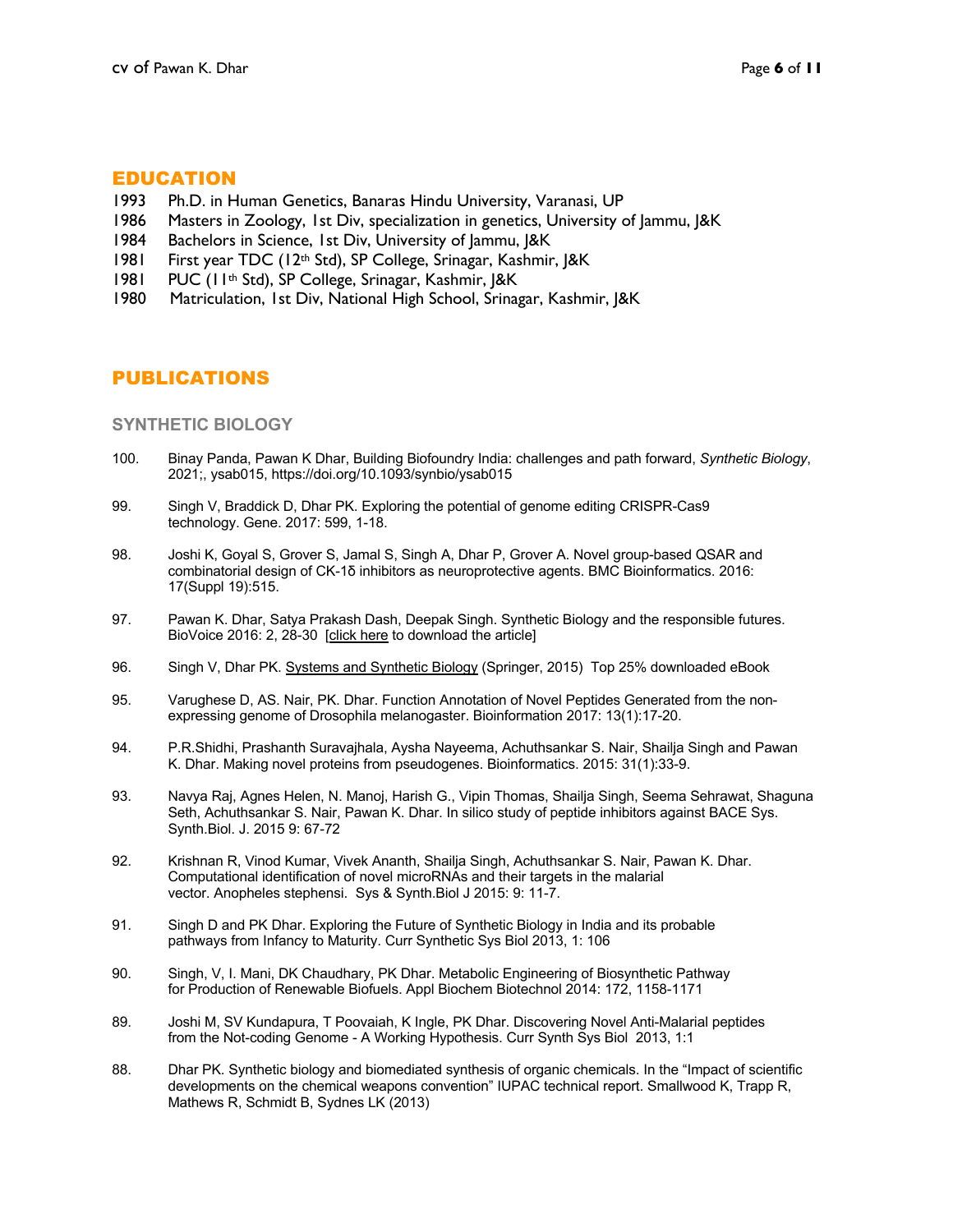#### EDUCATION

- 1993 Ph.D. in Human Genetics, Banaras Hindu University, Varanasi, UP
- 1986 Masters in Zoology, 1st Div, specialization in genetics, University of Jammu, J&K
- 1984 Bachelors in Science, 1st Div, University of Jammu, J&K
- 1981 First year TDC (12th Std), SP College, Srinagar, Kashmir, J&K
- 1981 PUC (11th Std), SP College, Srinagar, Kashmir, J&K
- 1980 Matriculation, 1st Div, National High School, Srinagar, Kashmir, J&K

## PUBLICATIONS

#### **SYNTHETIC BIOLOGY**

- 100. Binay Panda, Pawan K Dhar, Building Biofoundry India: challenges and path forward, *Synthetic Biology*, 2021;, ysab015, https://doi.org/10.1093/synbio/ysab015
- 99. Singh V, Braddick D, Dhar PK. Exploring the potential of genome editing CRISPR-Cas9 technology. Gene. 2017: 599, 1-18.
- 98. Joshi K, Goyal S, Grover S, Jamal S, Singh A, Dhar P, Grover A. Novel group-based QSAR and combinatorial design of CK-1δ inhibitors as neuroprotective agents. BMC Bioinformatics. 2016: 17(Suppl 19):515.
- 97. Pawan K. Dhar, Satya Prakash Dash, Deepak Singh. Synthetic Biology and the responsible futures. BioVoice 2016: 2, 28-30 [click here to download the article]
- 96. Singh V, Dhar PK. Systems and Synthetic Biology (Springer, 2015) Top 25% downloaded eBook
- 95. Varughese D, AS. Nair, PK. Dhar. Function Annotation of Novel Peptides Generated from the non expressing genome of Drosophila melanogaster. Bioinformation 2017: 13(1):17-20.
- 94. P.R.Shidhi, Prashanth Suravajhala, Aysha Nayeema, Achuthsankar S. Nair, Shailja Singh and Pawan K. Dhar. Making novel proteins from pseudogenes. Bioinformatics. 2015: 31(1):33-9.
- 93. Navya Raj, Agnes Helen, N. Manoj, Harish G., Vipin Thomas, Shailja Singh, Seema Sehrawat, Shaguna Seth, Achuthsankar S. Nair, Pawan K. Dhar. In silico study of peptide inhibitors against BACE Sys. Synth.Biol. J. 2015 9: 67-72
- 92. Krishnan R, Vinod Kumar, Vivek Ananth, Shailja Singh, Achuthsankar S. Nair, Pawan K. Dhar. Computational identification of novel microRNAs and their targets in the malarial vector. Anopheles stephensi. Sys & Synth.Biol J 2015: 9: 11-7.
- 91. Singh D and PK Dhar. Exploring the Future of Synthetic Biology in India and its probable pathways from Infancy to Maturity. Curr Synthetic Sys Biol 2013, 1: 106
- 90. Singh, V, I. Mani, DK Chaudhary, PK Dhar. Metabolic Engineering of Biosynthetic Pathway for Production of Renewable Biofuels. Appl Biochem Biotechnol 2014: 172, 1158-1171
- 89. Joshi M, SV Kundapura, T Poovaiah, K Ingle, PK Dhar. Discovering Novel Anti-Malarial peptides from the Not-coding Genome - A Working Hypothesis. Curr Synth Sys Biol 2013, 1:1
- 88. Dhar PK. Synthetic biology and biomediated synthesis of organic chemicals. In the "Impact of scientific developments on the chemical weapons convention" IUPAC technical report. Smallwood K, Trapp R, Mathews R, Schmidt B, Sydnes LK (2013)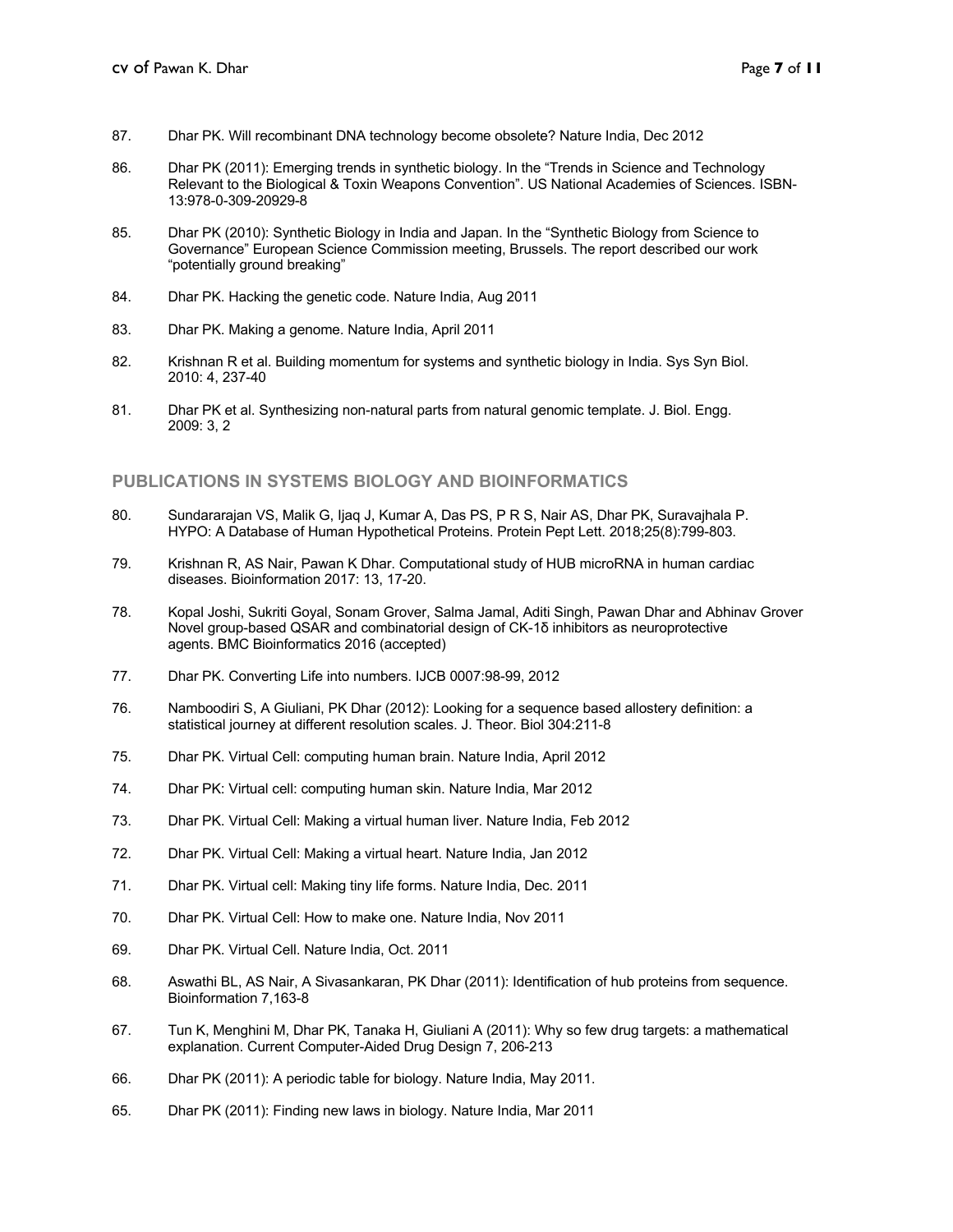- 87. Dhar PK. Will recombinant DNA technology become obsolete? Nature India, Dec 2012
- 86. Dhar PK (2011): Emerging trends in synthetic biology. In the "Trends in Science and Technology Relevant to the Biological & Toxin Weapons Convention". US National Academies of Sciences. ISBN- 13:978-0-309-20929-8
- 85. Dhar PK (2010): Synthetic Biology in India and Japan. In the "Synthetic Biology from Science to Governance" European Science Commission meeting, Brussels. The report described our work "potentially ground breaking"
- 84. Dhar PK. Hacking the genetic code. Nature India, Aug 2011
- 83. Dhar PK. Making a genome. Nature India, April 2011
- 82. Krishnan R et al. Building momentum for systems and synthetic biology in India. Sys Syn Biol. 2010: 4, 237-40
- 81. Dhar PK et al. Synthesizing non-natural parts from natural genomic template. J. Biol. Engg. 2009: 3, 2

#### **PUBLICATIONS IN SYSTEMS BIOLOGY AND BIOINFORMATICS**

- 80. Sundararajan VS, Malik G, Ijaq J, Kumar A, Das PS, P R S, Nair AS, Dhar PK, Suravajhala P. HYPO: A Database of Human Hypothetical Proteins. Protein Pept Lett. 2018;25(8):799-803.
- 79. Krishnan R, AS Nair, Pawan K Dhar. Computational study of HUB microRNA in human cardiac diseases. Bioinformation 2017: 13, 17-20.
- 78. Kopal Joshi, Sukriti Goyal, Sonam Grover, Salma Jamal, Aditi Singh, Pawan Dhar and Abhinav Grover Novel group-based QSAR and combinatorial design of CK-1δ inhibitors as neuroprotective agents. BMC Bioinformatics 2016 (accepted)
- 77. Dhar PK. Converting Life into numbers. IJCB 0007:98-99, 2012
- 76. Namboodiri S, A Giuliani, PK Dhar (2012): Looking for a sequence based allostery definition: a statistical journey at different resolution scales. J. Theor. Biol 304:211-8
- 75. Dhar PK. Virtual Cell: computing human brain. Nature India, April 2012
- 74. Dhar PK: Virtual cell: computing human skin. Nature India, Mar 2012
- 73. Dhar PK. Virtual Cell: Making a virtual human liver. Nature India, Feb 2012
- 72. Dhar PK. Virtual Cell: Making a virtual heart. Nature India, Jan 2012
- 71. Dhar PK. Virtual cell: Making tiny life forms. Nature India, Dec. 2011
- 70. Dhar PK. Virtual Cell: How to make one. Nature India, Nov 2011
- 69. Dhar PK. Virtual Cell. Nature India, Oct. 2011
- 68. Aswathi BL, AS Nair, A Sivasankaran, PK Dhar (2011): Identification of hub proteins from sequence. Bioinformation 7,163-8
- 67. Tun K, Menghini M, Dhar PK, Tanaka H, Giuliani A (2011): Why so few drug targets: a mathematical explanation. Current Computer-Aided Drug Design 7, 206-213
- 66. Dhar PK (2011): A periodic table for biology. Nature India, May 2011.
- 65. Dhar PK (2011): Finding new laws in biology. Nature India, Mar 2011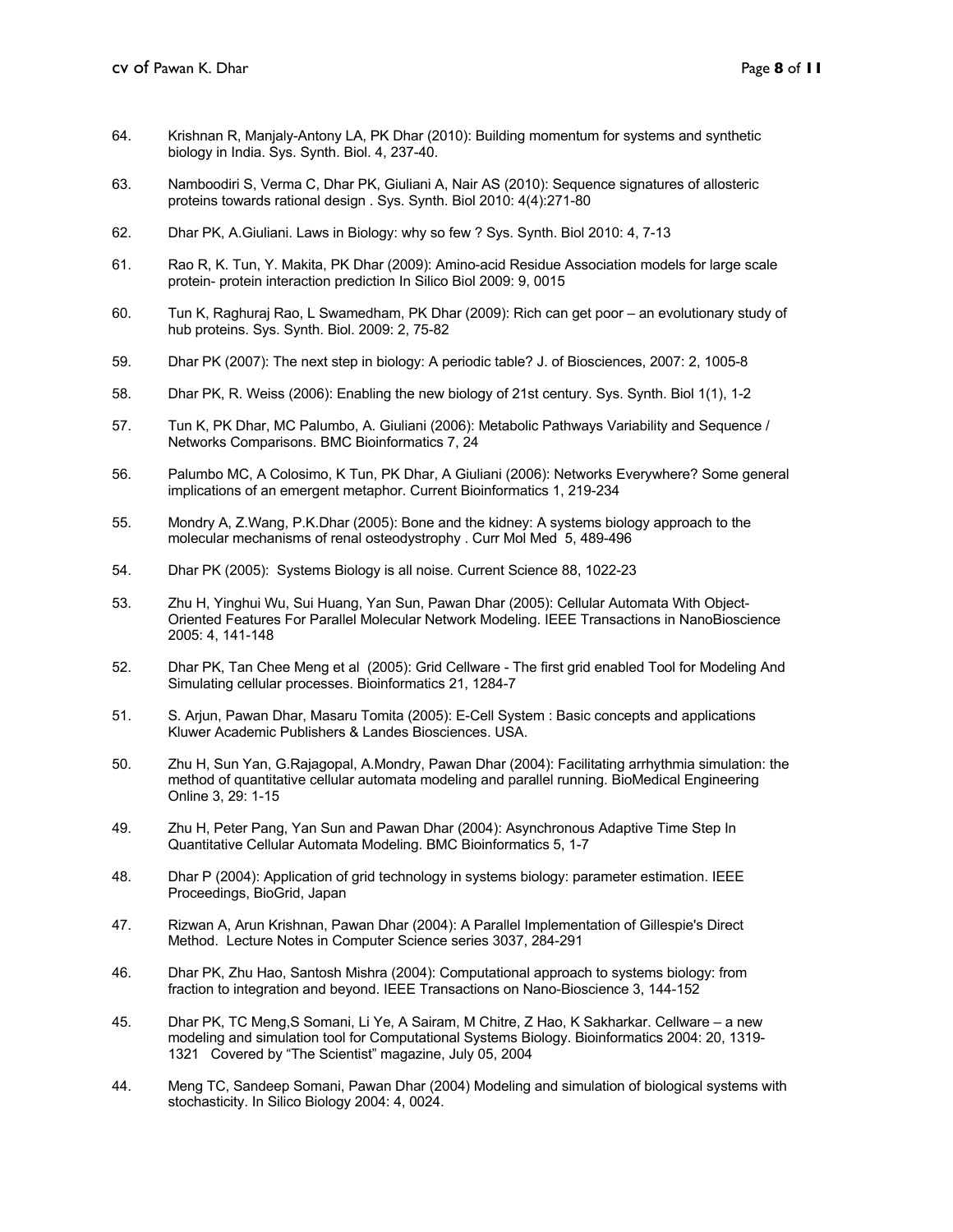- 64. Krishnan R, Manjaly-Antony LA, PK Dhar (2010): Building momentum for systems and synthetic biology in India. Sys. Synth. Biol. 4, 237-40.
- 63. Namboodiri S, Verma C, Dhar PK, Giuliani A, Nair AS (2010): Sequence signatures of allosteric proteins towards rational design . Sys. Synth. Biol 2010: 4(4):271-80
- 62. Dhar PK, A.Giuliani. Laws in Biology: why so few ? Sys. Synth. Biol 2010: 4, 7-13
- 61. Rao R, K. Tun, Y. Makita, PK Dhar (2009): Amino-acid Residue Association models for large scale protein- protein interaction prediction In Silico Biol 2009: 9, 0015
- 60. Tun K, Raghuraj Rao, L Swamedham, PK Dhar (2009): Rich can get poor an evolutionary study of hub proteins. Sys. Synth. Biol. 2009: 2, 75-82
- 59. Dhar PK (2007): The next step in biology: A periodic table? J. of Biosciences, 2007: 2, 1005-8
- 58. Dhar PK, R. Weiss (2006): Enabling the new biology of 21st century. Sys. Synth. Biol 1(1), 1-2
- 57. Tun K, PK Dhar, MC Palumbo, A. Giuliani (2006): Metabolic Pathways Variability and Sequence / Networks Comparisons. BMC Bioinformatics 7, 24
- 56. Palumbo MC, A Colosimo, K Tun, PK Dhar, A Giuliani (2006): Networks Everywhere? Some general implications of an emergent metaphor. Current Bioinformatics 1, 219-234
- 55. Mondry A, Z.Wang, P.K.Dhar (2005): Bone and the kidney: A systems biology approach to the molecular mechanisms of renal osteodystrophy . Curr Mol Med 5, 489-496
- 54. Dhar PK (2005): Systems Biology is all noise. Current Science 88, 1022-23
- 53. Zhu H, Yinghui Wu, Sui Huang, Yan Sun, Pawan Dhar (2005): Cellular Automata With Object- Oriented Features For Parallel Molecular Network Modeling. IEEE Transactions in NanoBioscience 2005: 4, 141-148
- 52. Dhar PK, Tan Chee Meng et al (2005): Grid Cellware The first grid enabled Tool for Modeling And Simulating cellular processes. Bioinformatics 21, 1284-7
- 51. S. Arjun, Pawan Dhar, Masaru Tomita (2005): E-Cell System : Basic concepts and applications Kluwer Academic Publishers & Landes Biosciences. USA.
- 50. Zhu H, Sun Yan, G.Rajagopal, A.Mondry, Pawan Dhar (2004): Facilitating arrhythmia simulation: the method of quantitative cellular automata modeling and parallel running. BioMedical Engineering Online 3, 29: 1-15
- 49. Zhu H, Peter Pang, Yan Sun and Pawan Dhar (2004): Asynchronous Adaptive Time Step In Quantitative Cellular Automata Modeling. BMC Bioinformatics 5, 1-7
- 48. Dhar P (2004): Application of grid technology in systems biology: parameter estimation. IEEE Proceedings, BioGrid, Japan
- 47. Rizwan A, Arun Krishnan, Pawan Dhar (2004): A Parallel Implementation of Gillespie's Direct Method. Lecture Notes in Computer Science series 3037, 284-291
- 46. Dhar PK, Zhu Hao, Santosh Mishra (2004): Computational approach to systems biology: from fraction to integration and beyond. IEEE Transactions on Nano-Bioscience 3, 144-152
- 45. Dhar PK, TC Meng,S Somani, Li Ye, A Sairam, M Chitre, Z Hao, K Sakharkar. Cellware a new modeling and simulation tool for Computational Systems Biology. Bioinformatics 2004: 20, 1319- 1321 Covered by "The Scientist" magazine, July 05, 2004
- 44. Meng TC, Sandeep Somani, Pawan Dhar (2004) Modeling and simulation of biological systems with stochasticity. In Silico Biology 2004: 4, 0024.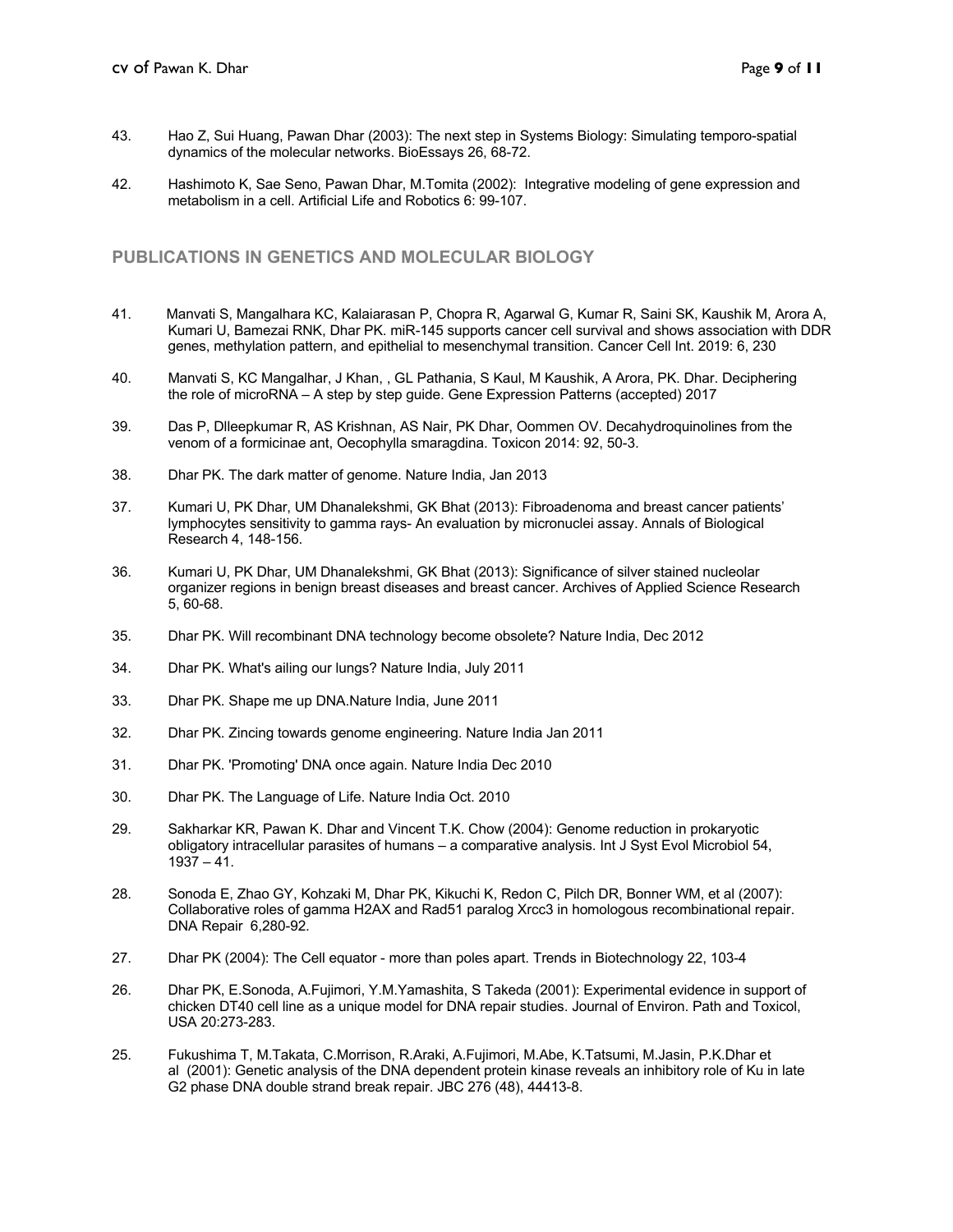- 43. Hao Z, Sui Huang, Pawan Dhar (2003): The next step in Systems Biology: Simulating temporo-spatial dynamics of the molecular networks. BioEssays 26, 68-72.
- 42. Hashimoto K, Sae Seno, Pawan Dhar, M.Tomita (2002): Integrative modeling of gene expression and metabolism in a cell. Artificial Life and Robotics 6: 99-107.

#### **PUBLICATIONS IN GENETICS AND MOLECULAR BIOLOGY**

- 41. Manvati S, Mangalhara KC, Kalaiarasan P, Chopra R, Agarwal G, Kumar R, Saini SK, Kaushik M, Arora A, Kumari U, Bamezai RNK, Dhar PK. miR-145 supports cancer cell survival and shows association with DDR genes, methylation pattern, and epithelial to mesenchymal transition. Cancer Cell Int. 2019: 6, 230
- 40. Manvati S, KC Mangalhar, J Khan, , GL Pathania, S Kaul, M Kaushik, A Arora, PK. Dhar. Deciphering the role of microRNA – A step by step guide. Gene Expression Patterns (accepted) 2017
- 39. Das P, Dlleepkumar R, AS Krishnan, AS Nair, PK Dhar, Oommen OV. Decahydroquinolines from the venom of a formicinae ant, Oecophylla smaragdina. Toxicon 2014: 92, 50-3.
- 38. Dhar PK. The dark matter of genome. Nature India, Jan 2013
- 37. Kumari U, PK Dhar, UM Dhanalekshmi, GK Bhat (2013): Fibroadenoma and breast cancer patients' lymphocytes sensitivity to gamma rays- An evaluation by micronuclei assay. Annals of Biological Research 4, 148-156.
- 36. Kumari U, PK Dhar, UM Dhanalekshmi, GK Bhat (2013): Significance of silver stained nucleolar organizer regions in benign breast diseases and breast cancer. Archives of Applied Science Research 5, 60-68.
- 35. Dhar PK. Will recombinant DNA technology become obsolete? Nature India, Dec 2012
- 34. Dhar PK. What's ailing our lungs? Nature India, July 2011
- 33. Dhar PK. Shape me up DNA.Nature India, June 2011
- 32. Dhar PK. Zincing towards genome engineering. Nature India Jan 2011
- 31. Dhar PK. 'Promoting' DNA once again. Nature India Dec 2010
- 30. Dhar PK. The Language of Life. Nature India Oct. 2010
- 29. Sakharkar KR, Pawan K. Dhar and Vincent T.K. Chow (2004): Genome reduction in prokaryotic obligatory intracellular parasites of humans – a comparative analysis. Int J Syst Evol Microbiol 54,  $1937 - 41$ .
- 28. Sonoda E, Zhao GY, Kohzaki M, Dhar PK, Kikuchi K, Redon C, Pilch DR, Bonner WM, et al (2007): Collaborative roles of gamma H2AX and Rad51 paralog Xrcc3 in homologous recombinational repair. DNA Repair 6,280-92.
- 27. Dhar PK (2004): The Cell equator more than poles apart. Trends in Biotechnology 22, 103-4
- 26. Dhar PK, E.Sonoda, A.Fujimori, Y.M.Yamashita, S Takeda (2001): Experimental evidence in support of chicken DT40 cell line as a unique model for DNA repair studies. Journal of Environ. Path and Toxicol, USA 20:273-283.
- 25. Fukushima T, M.Takata, C.Morrison, R.Araki, A.Fujimori, M.Abe, K.Tatsumi, M.Jasin, P.K.Dhar et al (2001): Genetic analysis of the DNA dependent protein kinase reveals an inhibitory role of Ku in late G2 phase DNA double strand break repair. JBC 276 (48), 44413-8.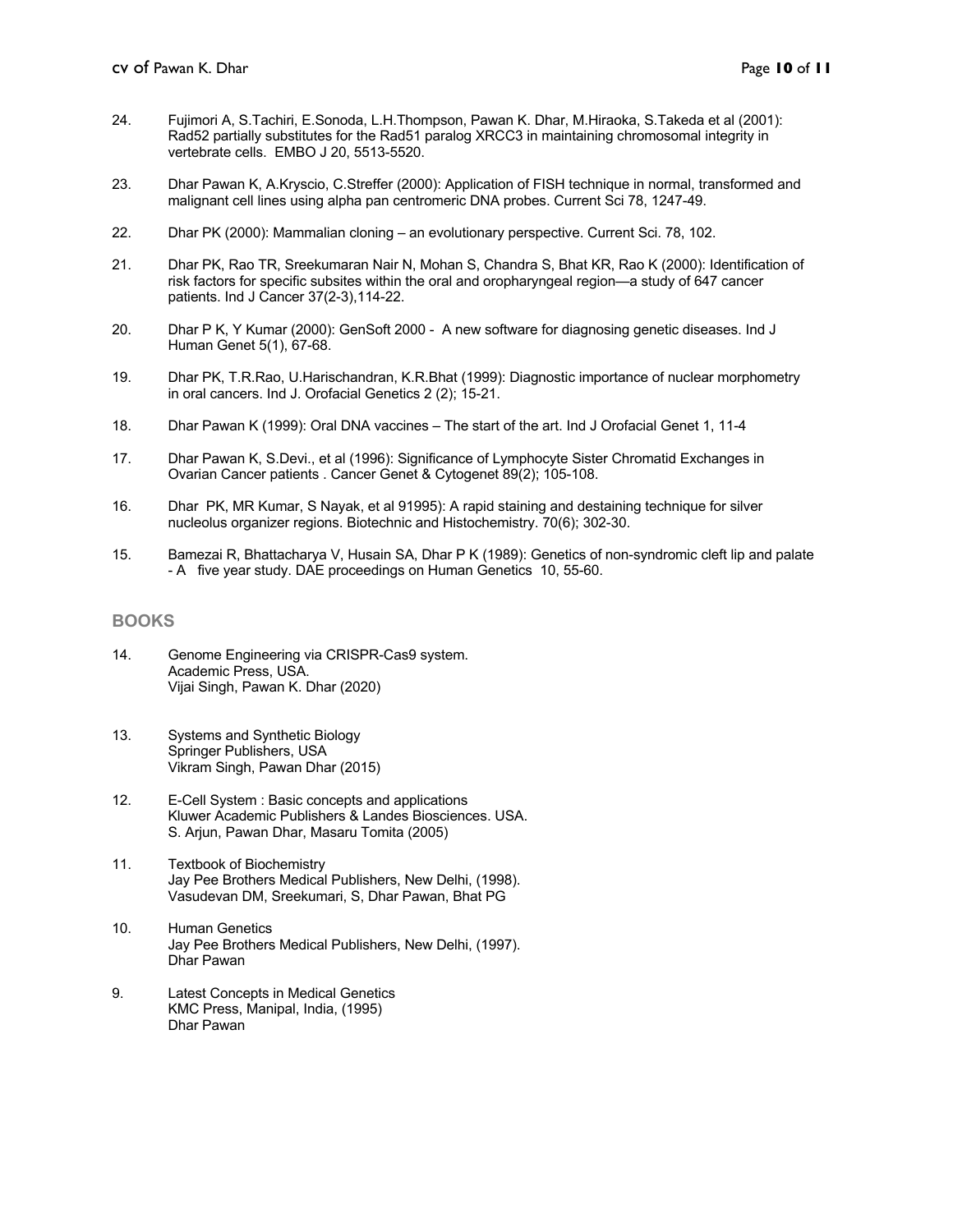- 24. Fujimori A, S.Tachiri, E.Sonoda, L.H.Thompson, Pawan K. Dhar, M.Hiraoka, S.Takeda et al (2001): Rad52 partially substitutes for the Rad51 paralog XRCC3 in maintaining chromosomal integrity in vertebrate cells. EMBO J 20, 5513-5520.
- 23. Dhar Pawan K, A.Kryscio, C.Streffer (2000): Application of FISH technique in normal, transformed and malignant cell lines using alpha pan centromeric DNA probes. Current Sci 78, 1247-49.
- 22. Dhar PK (2000): Mammalian cloning an evolutionary perspective. Current Sci. 78, 102.
- 21. Dhar PK, Rao TR, Sreekumaran Nair N, Mohan S, Chandra S, Bhat KR, Rao K (2000): Identification of risk factors for specific subsites within the oral and oropharyngeal region—a study of 647 cancer patients. Ind J Cancer 37(2-3),114-22.
- 20. Dhar P K, Y Kumar (2000): GenSoft 2000 A new software for diagnosing genetic diseases. Ind J Human Genet 5(1), 67-68.
- 19. Dhar PK, T.R.Rao, U.Harischandran, K.R.Bhat (1999): Diagnostic importance of nuclear morphometry in oral cancers. Ind J. Orofacial Genetics 2 (2); 15-21.
- 18. Dhar Pawan K (1999): Oral DNA vaccines The start of the art. Ind J Orofacial Genet 1, 11-4
- 17. Dhar Pawan K, S.Devi., et al (1996): Significance of Lymphocyte Sister Chromatid Exchanges in Ovarian Cancer patients . Cancer Genet & Cytogenet 89(2); 105-108.
- 16. Dhar PK, MR Kumar, S Nayak, et al 91995): A rapid staining and destaining technique for silver nucleolus organizer regions. Biotechnic and Histochemistry. 70(6); 302-30.
- 15. Bamezai R, Bhattacharya V, Husain SA, Dhar P K (1989): Genetics of non-syndromic cleft lip and palate - A five year study. DAE proceedings on Human Genetics 10, 55-60.

#### **BOOKS**

- 14. Genome Engineering via CRISPR-Cas9 system. Academic Press, USA. Vijai Singh, Pawan K. Dhar (2020)
- 13. Systems and Synthetic Biology Springer Publishers, USA Vikram Singh, Pawan Dhar (2015)
- 12. E-Cell System : Basic concepts and applications Kluwer Academic Publishers & Landes Biosciences. USA. S. Arjun, Pawan Dhar, Masaru Tomita (2005)
- 11. Textbook of Biochemistry Jay Pee Brothers Medical Publishers, New Delhi, (1998). Vasudevan DM, Sreekumari, S, Dhar Pawan, Bhat PG
- 10. Human Genetics Jay Pee Brothers Medical Publishers, New Delhi, (1997). Dhar Pawan
- 9. Latest Concepts in Medical Genetics KMC Press, Manipal, India, (1995) Dhar Pawan